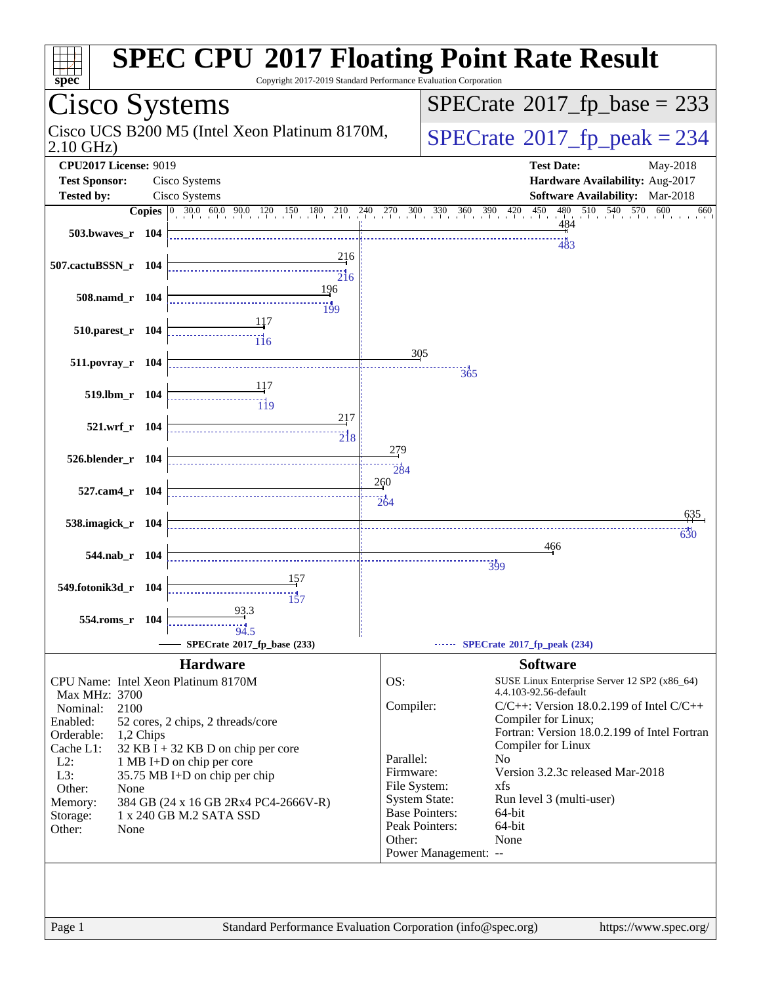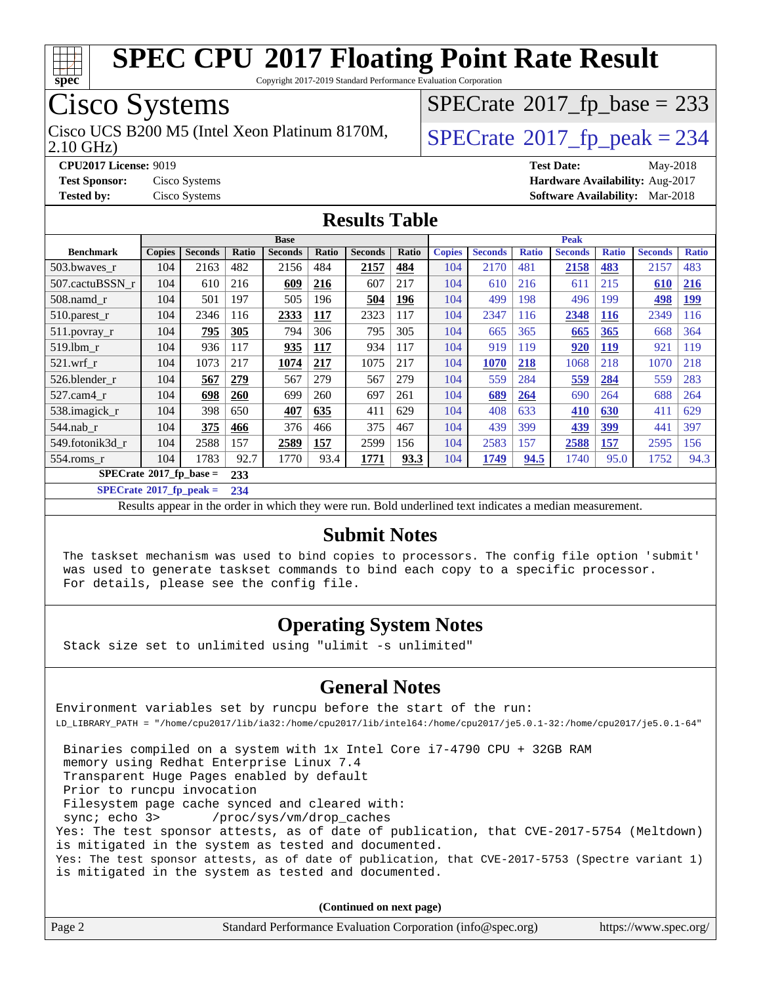

Copyright 2017-2019 Standard Performance Evaluation Corporation

## Cisco Systems

2.10 GHz) Cisco UCS B200 M5 (Intel Xeon Platinum 8170M,  $\big|$  [SPECrate](http://www.spec.org/auto/cpu2017/Docs/result-fields.html#SPECrate2017fppeak)®[2017\\_fp\\_peak = 2](http://www.spec.org/auto/cpu2017/Docs/result-fields.html#SPECrate2017fppeak)34

 $SPECTate$ <sup>®</sup>[2017\\_fp\\_base =](http://www.spec.org/auto/cpu2017/Docs/result-fields.html#SPECrate2017fpbase) 233

**[CPU2017 License:](http://www.spec.org/auto/cpu2017/Docs/result-fields.html#CPU2017License)** 9019 **[Test Date:](http://www.spec.org/auto/cpu2017/Docs/result-fields.html#TestDate)** May-2018 **[Test Sponsor:](http://www.spec.org/auto/cpu2017/Docs/result-fields.html#TestSponsor)** Cisco Systems **[Hardware Availability:](http://www.spec.org/auto/cpu2017/Docs/result-fields.html#HardwareAvailability)** Aug-2017 **[Tested by:](http://www.spec.org/auto/cpu2017/Docs/result-fields.html#Testedby)** Cisco Systems **[Software Availability:](http://www.spec.org/auto/cpu2017/Docs/result-fields.html#SoftwareAvailability)** Mar-2018

### **[Results Table](http://www.spec.org/auto/cpu2017/Docs/result-fields.html#ResultsTable)**

|                                  | <b>Base</b>   |                |            |                |            |                | <b>Peak</b> |               |                |              |                |              |                |              |
|----------------------------------|---------------|----------------|------------|----------------|------------|----------------|-------------|---------------|----------------|--------------|----------------|--------------|----------------|--------------|
| <b>Benchmark</b>                 | <b>Copies</b> | <b>Seconds</b> | Ratio      | <b>Seconds</b> | Ratio      | <b>Seconds</b> | Ratio       | <b>Copies</b> | <b>Seconds</b> | <b>Ratio</b> | <b>Seconds</b> | <b>Ratio</b> | <b>Seconds</b> | <b>Ratio</b> |
| 503.bwaves r                     | 104           | 2163           | 482        | 2156           | 484        | 2157           | 484         | 104           | 2170           | 481          | 2158           | 483          | 2157           | 483          |
| 507.cactuBSSN r                  | 104           | 610            | 216        | 609            | 216        | 607            | 217         | 104           | 610            | 216          | 611            | 215          | 610            | 216          |
| $508$ .namd $r$                  | 104           | 501            | 197        | 505            | 196        | 504            | 196         | 104           | 499            | 198          | 496            | 199          | 498            | <b>199</b>   |
| $510.parest_r$                   | 104           | 2346           | 116        | 2333           | 117        | 2323           | 117         | 104           | 2347           | 116          | 2348           | <b>116</b>   | 2349           | 116          |
| 511.povray_r                     | 104           | 795            | 305        | 794            | 306        | 795            | 305         | 104           | 665            | 365          | 665            | 365          | 668            | 364          |
| 519.1bm r                        | 104           | 936            | 117        | 935            | <u>117</u> | 934            | 117         | 104           | 919            | 119          | 920            | <u>119</u>   | 921            | 119          |
| $521$ .wrf r                     | 104           | 1073           | 217        | 1074           | 217        | 1075           | 217         | 104           | 1070           | 218          | 1068           | 218          | 1070           | 218          |
| 526.blender r                    | 104           | 567            | 279        | 567            | 279        | 567            | 279         | 104           | 559            | 284          | 559            | 284          | 559            | 283          |
| 527.cam4 r                       | 104           | 698            | <b>260</b> | 699            | 260        | 697            | 261         | 104           | 689            | 264          | 690            | 264          | 688            | 264          |
| 538.imagick_r                    | 104           | 398            | 650        | 407            | 635        | 411            | 629         | 104           | 408            | 633          | 410            | 630          | 411            | 629          |
| $544$ .nab r                     | 104           | 375            | 466        | 376            | 466        | 375            | 467         | 104           | 439            | 399          | 439            | 399          | 441            | 397          |
| 549.fotonik3d r                  | 104           | 2588           | 157        | 2589           | 157        | 2599           | 156         | 104           | 2583           | 157          | 2588           | 157          | 2595           | 156          |
| 554.roms r                       | 104           | 1783           | 92.7       | 1770           | 93.4       | 1771           | <u>93.3</u> | 104           | 1749           | 94.5         | 1740           | 95.0         | 1752           | 94.3         |
| $SPECrate^{\circ}2017$ fp base = |               |                | 233        |                |            |                |             |               |                |              |                |              |                |              |

**[SPECrate](http://www.spec.org/auto/cpu2017/Docs/result-fields.html#SPECrate2017fppeak)[2017\\_fp\\_peak =](http://www.spec.org/auto/cpu2017/Docs/result-fields.html#SPECrate2017fppeak) 234**

Results appear in the [order in which they were run.](http://www.spec.org/auto/cpu2017/Docs/result-fields.html#RunOrder) Bold underlined text [indicates a median measurement.](http://www.spec.org/auto/cpu2017/Docs/result-fields.html#Median)

### **[Submit Notes](http://www.spec.org/auto/cpu2017/Docs/result-fields.html#SubmitNotes)**

 The taskset mechanism was used to bind copies to processors. The config file option 'submit' was used to generate taskset commands to bind each copy to a specific processor. For details, please see the config file.

### **[Operating System Notes](http://www.spec.org/auto/cpu2017/Docs/result-fields.html#OperatingSystemNotes)**

Stack size set to unlimited using "ulimit -s unlimited"

### **[General Notes](http://www.spec.org/auto/cpu2017/Docs/result-fields.html#GeneralNotes)**

Environment variables set by runcpu before the start of the run: LD\_LIBRARY\_PATH = "/home/cpu2017/lib/ia32:/home/cpu2017/lib/intel64:/home/cpu2017/je5.0.1-32:/home/cpu2017/je5.0.1-64"

 Binaries compiled on a system with 1x Intel Core i7-4790 CPU + 32GB RAM memory using Redhat Enterprise Linux 7.4 Transparent Huge Pages enabled by default Prior to runcpu invocation Filesystem page cache synced and cleared with: sync; echo 3> /proc/sys/vm/drop\_caches Yes: The test sponsor attests, as of date of publication, that CVE-2017-5754 (Meltdown) is mitigated in the system as tested and documented. Yes: The test sponsor attests, as of date of publication, that CVE-2017-5753 (Spectre variant 1) is mitigated in the system as tested and documented.

**(Continued on next page)**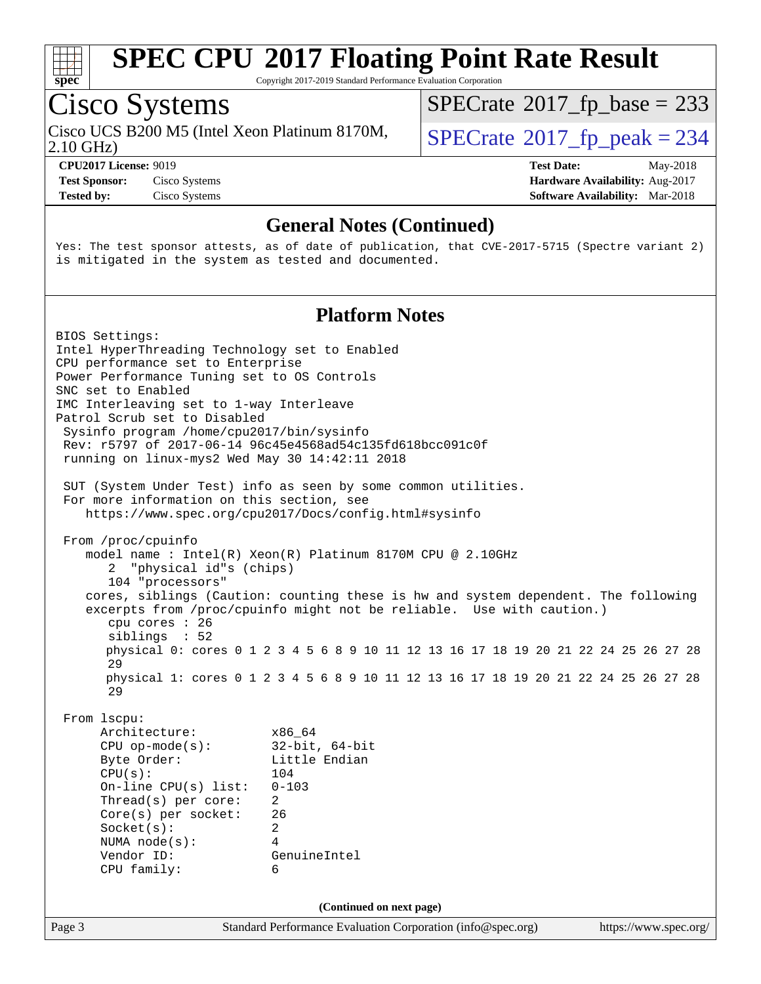

Copyright 2017-2019 Standard Performance Evaluation Corporation

# Cisco Systems

Cisco UCS B200 M5 (Intel Xeon Platinum 8170M,<br>2.10 GHz)

 $SPECTate$ <sup>®</sup>[2017\\_fp\\_base =](http://www.spec.org/auto/cpu2017/Docs/result-fields.html#SPECrate2017fpbase) 233

**[Test Sponsor:](http://www.spec.org/auto/cpu2017/Docs/result-fields.html#TestSponsor)** Cisco Systems **[Hardware Availability:](http://www.spec.org/auto/cpu2017/Docs/result-fields.html#HardwareAvailability)** Aug-2017

 $SPECTate<sup>®</sup>2017_fp_peak = 234$  $SPECTate<sup>®</sup>2017_fp_peak = 234$  $SPECTate<sup>®</sup>2017_fp_peak = 234$ 

**[CPU2017 License:](http://www.spec.org/auto/cpu2017/Docs/result-fields.html#CPU2017License)** 9019 **[Test Date:](http://www.spec.org/auto/cpu2017/Docs/result-fields.html#TestDate)** May-2018 **[Tested by:](http://www.spec.org/auto/cpu2017/Docs/result-fields.html#Testedby)** Cisco Systems **Cisco Systems [Software Availability:](http://www.spec.org/auto/cpu2017/Docs/result-fields.html#SoftwareAvailability)** Mar-2018

### **[General Notes \(Continued\)](http://www.spec.org/auto/cpu2017/Docs/result-fields.html#GeneralNotes)**

Yes: The test sponsor attests, as of date of publication, that CVE-2017-5715 (Spectre variant 2) is mitigated in the system as tested and documented.

### **[Platform Notes](http://www.spec.org/auto/cpu2017/Docs/result-fields.html#PlatformNotes)**

Page 3 Standard Performance Evaluation Corporation [\(info@spec.org\)](mailto:info@spec.org) <https://www.spec.org/> BIOS Settings: Intel HyperThreading Technology set to Enabled CPU performance set to Enterprise Power Performance Tuning set to OS Controls SNC set to Enabled IMC Interleaving set to 1-way Interleave Patrol Scrub set to Disabled Sysinfo program /home/cpu2017/bin/sysinfo Rev: r5797 of 2017-06-14 96c45e4568ad54c135fd618bcc091c0f running on linux-mys2 Wed May 30 14:42:11 2018 SUT (System Under Test) info as seen by some common utilities. For more information on this section, see <https://www.spec.org/cpu2017/Docs/config.html#sysinfo> From /proc/cpuinfo model name : Intel(R) Xeon(R) Platinum 8170M CPU @ 2.10GHz 2 "physical id"s (chips) 104 "processors" cores, siblings (Caution: counting these is hw and system dependent. The following excerpts from /proc/cpuinfo might not be reliable. Use with caution.) cpu cores : 26 siblings : 52 physical 0: cores 0 1 2 3 4 5 6 8 9 10 11 12 13 16 17 18 19 20 21 22 24 25 26 27 28 29 physical 1: cores 0 1 2 3 4 5 6 8 9 10 11 12 13 16 17 18 19 20 21 22 24 25 26 27 28 29 From lscpu: Architecture: x86\_64 CPU op-mode(s): 32-bit, 64-bit Byte Order: Little Endian CPU(s): 104 On-line CPU(s) list: 0-103 Thread(s) per core: 2 Core(s) per socket: 26 Socket(s): 2 NUMA node(s): 4 Vendor ID: GenuineIntel CPU family: 6 **(Continued on next page)**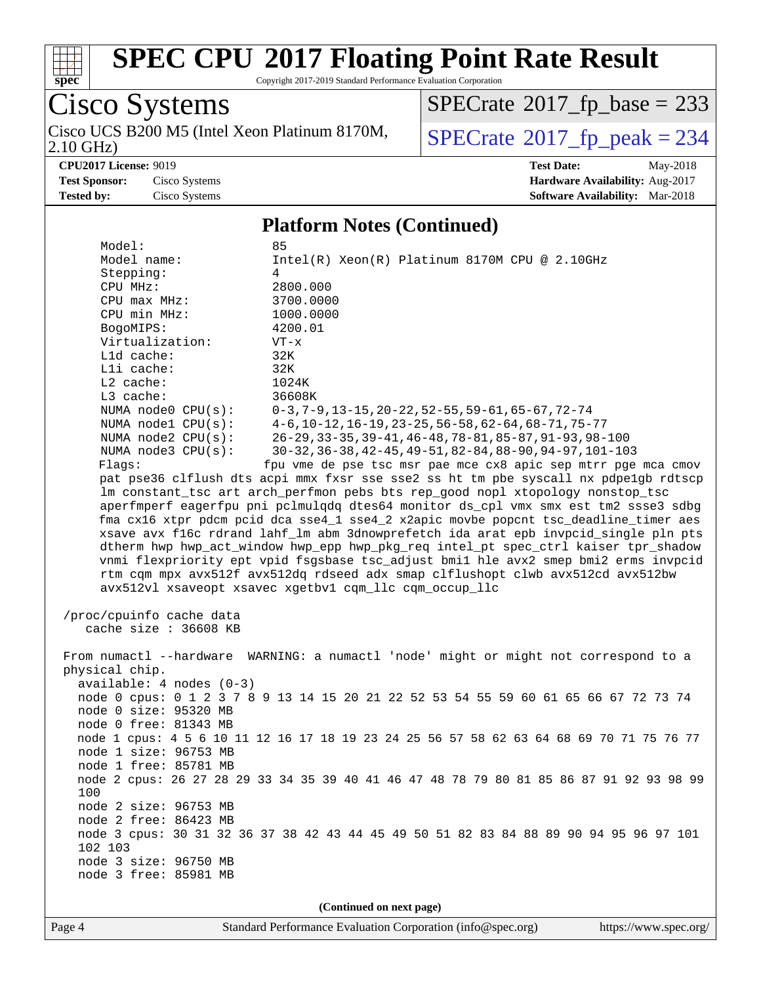

Copyright 2017-2019 Standard Performance Evaluation Corporation

Cisco Systems 2.10 GHz) Cisco UCS B200 M5 (Intel Xeon Platinum 8170M,  $SPECrate@2017_fp\_peak = 234$  $SPECrate@2017_fp\_peak = 234$ 

 $SPECTate$ <sup>®</sup>[2017\\_fp\\_base =](http://www.spec.org/auto/cpu2017/Docs/result-fields.html#SPECrate2017fpbase) 233

**[CPU2017 License:](http://www.spec.org/auto/cpu2017/Docs/result-fields.html#CPU2017License)** 9019 **[Test Date:](http://www.spec.org/auto/cpu2017/Docs/result-fields.html#TestDate)** May-2018 **[Test Sponsor:](http://www.spec.org/auto/cpu2017/Docs/result-fields.html#TestSponsor)** Cisco Systems **[Hardware Availability:](http://www.spec.org/auto/cpu2017/Docs/result-fields.html#HardwareAvailability)** Aug-2017 **[Tested by:](http://www.spec.org/auto/cpu2017/Docs/result-fields.html#Testedby)** Cisco Systems **[Software Availability:](http://www.spec.org/auto/cpu2017/Docs/result-fields.html#SoftwareAvailability)** Mar-2018

### **[Platform Notes \(Continued\)](http://www.spec.org/auto/cpu2017/Docs/result-fields.html#PlatformNotes)**

|                            | 85                                                                                      |
|----------------------------|-----------------------------------------------------------------------------------------|
| Model name:                | $Intel(R) Xeon(R) Platinum 8170M CPU @ 2.10GHz$                                         |
| Stepping:                  | 4                                                                                       |
| CPU MHz:                   | 2800.000                                                                                |
| CPU max MHz:               | 3700.0000                                                                               |
| CPU min MHz:               | 1000.0000                                                                               |
| BogoMIPS:                  | 4200.01                                                                                 |
| Virtualization:            | $VT - x$                                                                                |
| Lld cache:                 | 32K                                                                                     |
| Lli cache:                 | 32K                                                                                     |
| $L2$ cache:                | 1024K                                                                                   |
| L3 cache:                  | 36608K                                                                                  |
| NUMA node0 CPU(s):         | $0-3, 7-9, 13-15, 20-22, 52-55, 59-61, 65-67, 72-74$                                    |
| NUMA $node1$ $CPU(s):$     | $4-6$ , 10-12, 16-19, 23-25, 56-58, 62-64, 68-71, 75-77                                 |
| NUMA $node2$ $CPU(s)$ :    | 26-29, 33-35, 39-41, 46-48, 78-81, 85-87, 91-93, 98-100                                 |
| NUMA node3 CPU(s):         | 30-32, 36-38, 42-45, 49-51, 82-84, 88-90, 94-97, 101-103                                |
| Flags:                     | fpu vme de pse tsc msr pae mce cx8 apic sep mtrr pge mca cmov                           |
|                            | pat pse36 clflush dts acpi mmx fxsr sse sse2 ss ht tm pbe syscall nx pdpelgb rdtscp     |
|                            | lm constant_tsc art arch_perfmon pebs bts rep_good nopl xtopology nonstop_tsc           |
|                            | aperfmperf eagerfpu pni pclmulqdq dtes64 monitor ds_cpl vmx smx est tm2 ssse3 sdbg      |
|                            | fma cx16 xtpr pdcm pcid dca sse4_1 sse4_2 x2apic movbe popcnt tsc_deadline_timer aes    |
|                            | xsave avx f16c rdrand lahf_lm abm 3dnowprefetch ida arat epb invpcid_single pln pts     |
|                            | dtherm hwp hwp_act_window hwp_epp hwp_pkg_req intel_pt spec_ctrl kaiser tpr_shadow      |
|                            | vnmi flexpriority ept vpid fsgsbase tsc_adjust bmil hle avx2 smep bmi2 erms invpcid     |
|                            | rtm cqm mpx avx512f avx512dq rdseed adx smap clflushopt clwb avx512cd avx512bw          |
|                            | avx512vl xsaveopt xsavec xgetbv1 cqm_llc cqm_occup_llc                                  |
|                            |                                                                                         |
| /proc/cpuinfo cache data   |                                                                                         |
| cache size : 36608 KB      |                                                                                         |
|                            |                                                                                         |
|                            | From numactl --hardware WARNING: a numactl 'node' might or might not correspond to a    |
| physical chip.             |                                                                                         |
|                            |                                                                                         |
|                            |                                                                                         |
| $available: 4 nodes (0-3)$ |                                                                                         |
|                            | node 0 cpus: 0 1 2 3 7 8 9 13 14 15 20 21 22 52 53 54 55 59 60 61 65 66 67 72 73 74     |
| node 0 size: 95320 MB      |                                                                                         |
| node 0 free: 81343 MB      |                                                                                         |
|                            | node 1 cpus: 4 5 6 10 11 12 16 17 18 19 23 24 25 56 57 58 62 63 64 68 69 70 71 75 76 77 |
| node 1 size: 96753 MB      |                                                                                         |
| node 1 free: 85781 MB      |                                                                                         |
|                            | node 2 cpus: 26 27 28 29 33 34 35 39 40 41 46 47 48 78 79 80 81 85 86 87 91 92 93 98 99 |
| 100                        |                                                                                         |
| node 2 size: 96753 MB      |                                                                                         |
| node 2 free: 86423 MB      |                                                                                         |
|                            | node 3 cpus: 30 31 32 36 37 38 42 43 44 45 49 50 51 82 83 84 88 89 90 94 95 96 97 101   |
| 102 103                    |                                                                                         |
| node 3 size: 96750 MB      |                                                                                         |
| node 3 free: 85981 MB      |                                                                                         |

**(Continued on next page)**

Page 4 Standard Performance Evaluation Corporation [\(info@spec.org\)](mailto:info@spec.org) <https://www.spec.org/>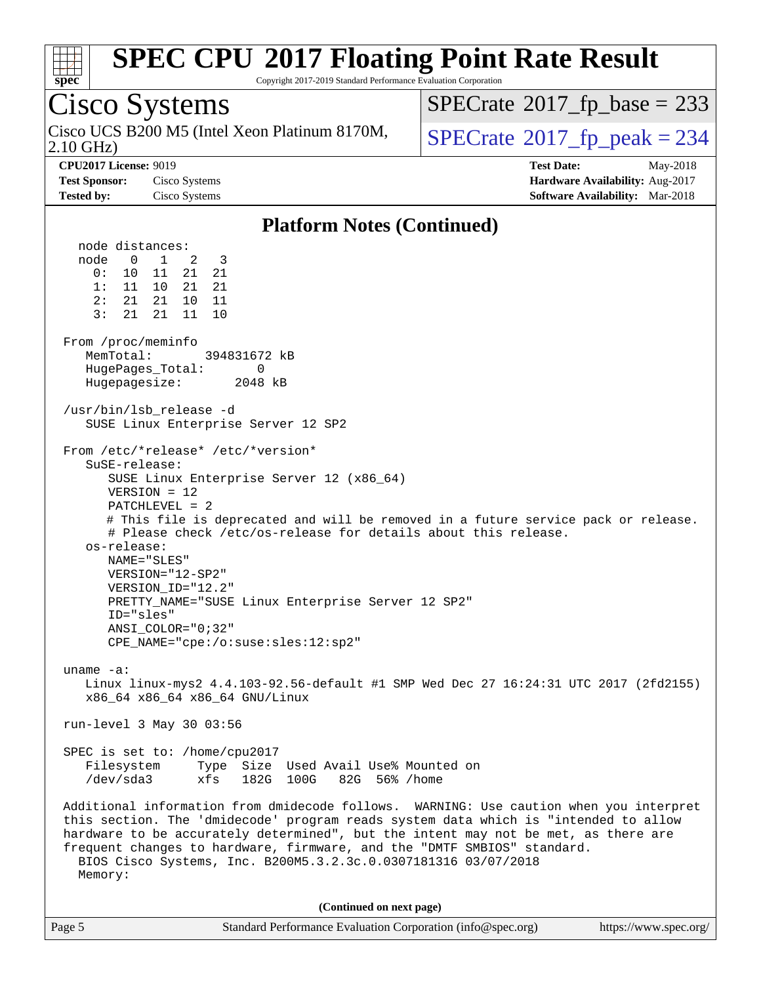

Copyright 2017-2019 Standard Performance Evaluation Corporation

Page 5 Standard Performance Evaluation Corporation [\(info@spec.org\)](mailto:info@spec.org) <https://www.spec.org/> Cisco Systems 2.10 GHz) Cisco UCS B200 M5 (Intel Xeon Platinum 8170M,  $\big|$  [SPECrate](http://www.spec.org/auto/cpu2017/Docs/result-fields.html#SPECrate2017fppeak)®[2017\\_fp\\_peak = 2](http://www.spec.org/auto/cpu2017/Docs/result-fields.html#SPECrate2017fppeak)34  $SPECTate$ <sup>®</sup>[2017\\_fp\\_base =](http://www.spec.org/auto/cpu2017/Docs/result-fields.html#SPECrate2017fpbase) 233 **[CPU2017 License:](http://www.spec.org/auto/cpu2017/Docs/result-fields.html#CPU2017License)** 9019 **[Test Date:](http://www.spec.org/auto/cpu2017/Docs/result-fields.html#TestDate)** May-2018 **[Test Sponsor:](http://www.spec.org/auto/cpu2017/Docs/result-fields.html#TestSponsor)** Cisco Systems **[Hardware Availability:](http://www.spec.org/auto/cpu2017/Docs/result-fields.html#HardwareAvailability)** Aug-2017 **[Tested by:](http://www.spec.org/auto/cpu2017/Docs/result-fields.html#Testedby)** Cisco Systems **[Software Availability:](http://www.spec.org/auto/cpu2017/Docs/result-fields.html#SoftwareAvailability)** Mar-2018 **[Platform Notes \(Continued\)](http://www.spec.org/auto/cpu2017/Docs/result-fields.html#PlatformNotes)** node distances: node 0 1 2 3 0: 10 11 21 21 1: 11 10 21 21 2: 21 21 10 11 3: 21 21 11 10 From /proc/meminfo MemTotal: 394831672 kB HugePages\_Total: 0 Hugepagesize: 2048 kB /usr/bin/lsb\_release -d SUSE Linux Enterprise Server 12 SP2 From /etc/\*release\* /etc/\*version\* SuSE-release: SUSE Linux Enterprise Server 12 (x86\_64) VERSION = 12 PATCHLEVEL = 2 # This file is deprecated and will be removed in a future service pack or release. # Please check /etc/os-release for details about this release. os-release: NAME="SLES" VERSION="12-SP2" VERSION\_ID="12.2" PRETTY\_NAME="SUSE Linux Enterprise Server 12 SP2" ID="sles" ANSI\_COLOR="0;32" CPE\_NAME="cpe:/o:suse:sles:12:sp2" uname -a: Linux linux-mys2 4.4.103-92.56-default #1 SMP Wed Dec 27 16:24:31 UTC 2017 (2fd2155) x86\_64 x86\_64 x86\_64 GNU/Linux run-level 3 May 30 03:56 SPEC is set to: /home/cpu2017 Filesystem Type Size Used Avail Use% Mounted on /dev/sda3 xfs 182G 100G 82G 56% /home Additional information from dmidecode follows. WARNING: Use caution when you interpret this section. The 'dmidecode' program reads system data which is "intended to allow hardware to be accurately determined", but the intent may not be met, as there are frequent changes to hardware, firmware, and the "DMTF SMBIOS" standard. BIOS Cisco Systems, Inc. B200M5.3.2.3c.0.0307181316 03/07/2018 Memory: **(Continued on next page)**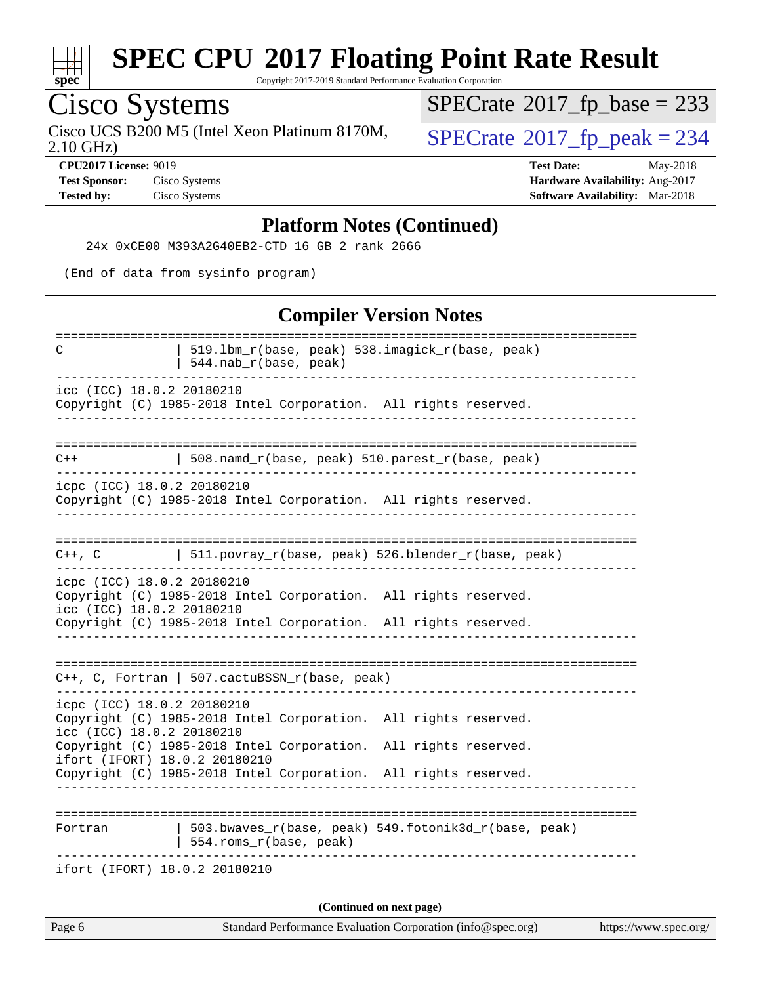

Copyright 2017-2019 Standard Performance Evaluation Corporation

# Cisco Systems

Cisco UCS B200 M5 (Intel Xeon Platinum 8170M,  $SPECrate@2017_fp\_peak = 234$  $SPECrate@2017_fp\_peak = 234$ 

 $SPECTate$ <sup>®</sup>[2017\\_fp\\_base =](http://www.spec.org/auto/cpu2017/Docs/result-fields.html#SPECrate2017fpbase) 233

2.10 GHz)

**[CPU2017 License:](http://www.spec.org/auto/cpu2017/Docs/result-fields.html#CPU2017License)** 9019 **[Test Date:](http://www.spec.org/auto/cpu2017/Docs/result-fields.html#TestDate)** May-2018 **[Test Sponsor:](http://www.spec.org/auto/cpu2017/Docs/result-fields.html#TestSponsor)** Cisco Systems **[Hardware Availability:](http://www.spec.org/auto/cpu2017/Docs/result-fields.html#HardwareAvailability)** Aug-2017 **[Tested by:](http://www.spec.org/auto/cpu2017/Docs/result-fields.html#Testedby)** Cisco Systems **[Software Availability:](http://www.spec.org/auto/cpu2017/Docs/result-fields.html#SoftwareAvailability)** Mar-2018

### **[Platform Notes \(Continued\)](http://www.spec.org/auto/cpu2017/Docs/result-fields.html#PlatformNotes)**

24x 0xCE00 M393A2G40EB2-CTD 16 GB 2 rank 2666

(End of data from sysinfo program)

### **[Compiler Version Notes](http://www.spec.org/auto/cpu2017/Docs/result-fields.html#CompilerVersionNotes)**

| Page 6                                                                                           | Standard Performance Evaluation Corporation (info@spec.org)                    | https://www.spec.org/ |  |  |  |  |
|--------------------------------------------------------------------------------------------------|--------------------------------------------------------------------------------|-----------------------|--|--|--|--|
|                                                                                                  | (Continued on next page)                                                       |                       |  |  |  |  |
| ifort (IFORT) 18.0.2 20180210                                                                    |                                                                                |                       |  |  |  |  |
| Fortran                                                                                          | 503.bwaves_r(base, peak) 549.fotonik3d_r(base, peak)<br>554.roms_r(base, peak) |                       |  |  |  |  |
|                                                                                                  |                                                                                |                       |  |  |  |  |
| ifort (IFORT) 18.0.2 20180210<br>Copyright (C) 1985-2018 Intel Corporation. All rights reserved. |                                                                                |                       |  |  |  |  |
| icc (ICC) 18.0.2 20180210<br>Copyright (C) 1985-2018 Intel Corporation. All rights reserved.     |                                                                                |                       |  |  |  |  |
| icpc (ICC) 18.0.2 20180210                                                                       | Copyright (C) 1985-2018 Intel Corporation. All rights reserved.                |                       |  |  |  |  |
|                                                                                                  | $C++$ , C, Fortran   507.cactuBSSN_r(base, peak)<br>.                          |                       |  |  |  |  |
|                                                                                                  | Copyright (C) 1985-2018 Intel Corporation. All rights reserved.                |                       |  |  |  |  |
| icpc (ICC) 18.0.2 20180210<br>icc (ICC) 18.0.2 20180210                                          | Copyright (C) 1985-2018 Intel Corporation. All rights reserved.                |                       |  |  |  |  |
| $C++$ , $C$                                                                                      | $511.povray_r(base, peak) 526.blender_r(base, peak)$                           |                       |  |  |  |  |
|                                                                                                  |                                                                                |                       |  |  |  |  |
| icpc (ICC) 18.0.2 20180210                                                                       | Copyright (C) 1985-2018 Intel Corporation. All rights reserved.                |                       |  |  |  |  |
| $C++$                                                                                            | 508.namd_r(base, peak) 510.parest_r(base, peak)                                |                       |  |  |  |  |
|                                                                                                  |                                                                                |                       |  |  |  |  |
| icc (ICC) 18.0.2 20180210                                                                        | Copyright (C) 1985-2018 Intel Corporation. All rights reserved.                |                       |  |  |  |  |
| C                                                                                                | 519.1bm_r(base, peak) 538.imagick_r(base, peak)<br>$544.nab_r(base, peak)$     |                       |  |  |  |  |
|                                                                                                  | -----------------------------------                                            |                       |  |  |  |  |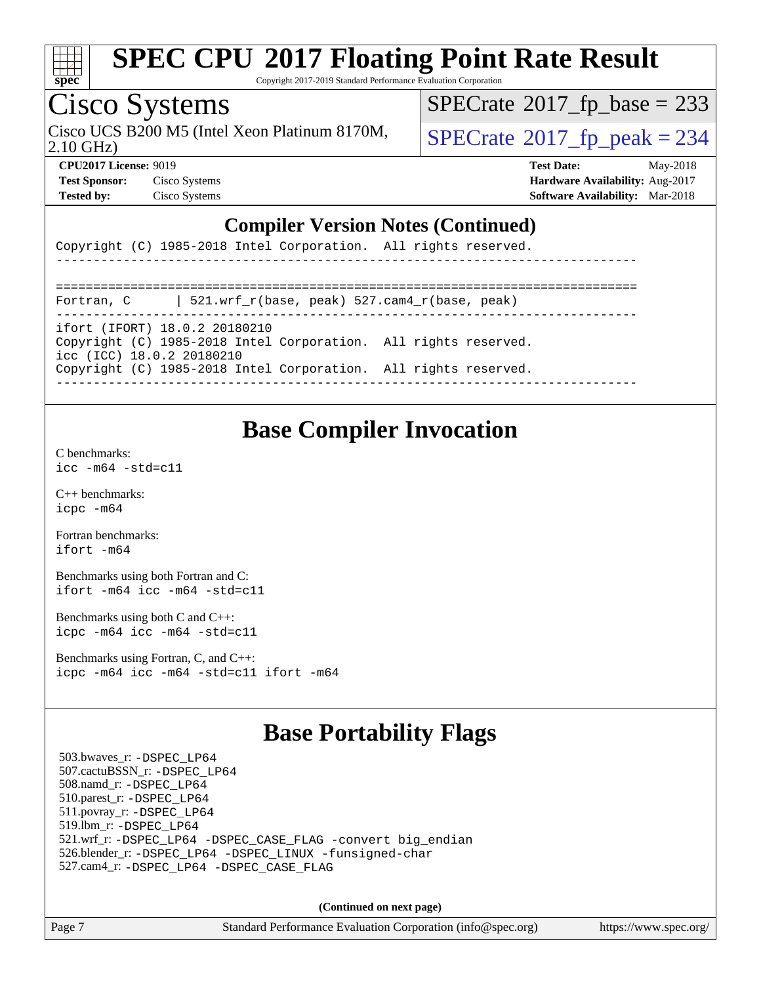

Copyright 2017-2019 Standard Performance Evaluation Corporation

## Cisco Systems

2.10 GHz) Cisco UCS B200 M5 (Intel Xeon Platinum 8170M,  $\big|$  [SPECrate](http://www.spec.org/auto/cpu2017/Docs/result-fields.html#SPECrate2017fppeak)®[2017\\_fp\\_peak = 2](http://www.spec.org/auto/cpu2017/Docs/result-fields.html#SPECrate2017fppeak)34

 $SPECTate$ <sup>®</sup>[2017\\_fp\\_base =](http://www.spec.org/auto/cpu2017/Docs/result-fields.html#SPECrate2017fpbase) 233

**[CPU2017 License:](http://www.spec.org/auto/cpu2017/Docs/result-fields.html#CPU2017License)** 9019 **[Test Date:](http://www.spec.org/auto/cpu2017/Docs/result-fields.html#TestDate)** May-2018 **[Test Sponsor:](http://www.spec.org/auto/cpu2017/Docs/result-fields.html#TestSponsor)** Cisco Systems **[Hardware Availability:](http://www.spec.org/auto/cpu2017/Docs/result-fields.html#HardwareAvailability)** Aug-2017 **[Tested by:](http://www.spec.org/auto/cpu2017/Docs/result-fields.html#Testedby)** Cisco Systems **[Software Availability:](http://www.spec.org/auto/cpu2017/Docs/result-fields.html#SoftwareAvailability)** Mar-2018

### **[Compiler Version Notes \(Continued\)](http://www.spec.org/auto/cpu2017/Docs/result-fields.html#CompilerVersionNotes)**

|  |  | Copyright (C) 1985-2018 Intel Corporation. All rights reserved. |  |  |
|--|--|-----------------------------------------------------------------|--|--|
|  |  |                                                                 |  |  |

| Fortran, C | 521.wrf r(base, peak) 527.cam4 r(base, peak)                                                     |
|------------|--------------------------------------------------------------------------------------------------|
|            | ifort (IFORT) 18.0.2 20180210<br>Copyright (C) 1985-2018 Intel Corporation. All rights reserved. |

#### icc (ICC) 18.0.2 20180210 Copyright (C) 1985-2018 Intel Corporation. All rights reserved.

------------------------------------------------------------------------------

### **[Base Compiler Invocation](http://www.spec.org/auto/cpu2017/Docs/result-fields.html#BaseCompilerInvocation)**

[C benchmarks](http://www.spec.org/auto/cpu2017/Docs/result-fields.html#Cbenchmarks): [icc -m64 -std=c11](http://www.spec.org/cpu2017/results/res2018q2/cpu2017-20180612-06932.flags.html#user_CCbase_intel_icc_64bit_c11_33ee0cdaae7deeeab2a9725423ba97205ce30f63b9926c2519791662299b76a0318f32ddfffdc46587804de3178b4f9328c46fa7c2b0cd779d7a61945c91cd35)

[C++ benchmarks:](http://www.spec.org/auto/cpu2017/Docs/result-fields.html#CXXbenchmarks) [icpc -m64](http://www.spec.org/cpu2017/results/res2018q2/cpu2017-20180612-06932.flags.html#user_CXXbase_intel_icpc_64bit_4ecb2543ae3f1412ef961e0650ca070fec7b7afdcd6ed48761b84423119d1bf6bdf5cad15b44d48e7256388bc77273b966e5eb805aefd121eb22e9299b2ec9d9)

[Fortran benchmarks](http://www.spec.org/auto/cpu2017/Docs/result-fields.html#Fortranbenchmarks): [ifort -m64](http://www.spec.org/cpu2017/results/res2018q2/cpu2017-20180612-06932.flags.html#user_FCbase_intel_ifort_64bit_24f2bb282fbaeffd6157abe4f878425411749daecae9a33200eee2bee2fe76f3b89351d69a8130dd5949958ce389cf37ff59a95e7a40d588e8d3a57e0c3fd751)

[Benchmarks using both Fortran and C](http://www.spec.org/auto/cpu2017/Docs/result-fields.html#BenchmarksusingbothFortranandC): [ifort -m64](http://www.spec.org/cpu2017/results/res2018q2/cpu2017-20180612-06932.flags.html#user_CC_FCbase_intel_ifort_64bit_24f2bb282fbaeffd6157abe4f878425411749daecae9a33200eee2bee2fe76f3b89351d69a8130dd5949958ce389cf37ff59a95e7a40d588e8d3a57e0c3fd751) [icc -m64 -std=c11](http://www.spec.org/cpu2017/results/res2018q2/cpu2017-20180612-06932.flags.html#user_CC_FCbase_intel_icc_64bit_c11_33ee0cdaae7deeeab2a9725423ba97205ce30f63b9926c2519791662299b76a0318f32ddfffdc46587804de3178b4f9328c46fa7c2b0cd779d7a61945c91cd35)

[Benchmarks using both C and C++](http://www.spec.org/auto/cpu2017/Docs/result-fields.html#BenchmarksusingbothCandCXX): [icpc -m64](http://www.spec.org/cpu2017/results/res2018q2/cpu2017-20180612-06932.flags.html#user_CC_CXXbase_intel_icpc_64bit_4ecb2543ae3f1412ef961e0650ca070fec7b7afdcd6ed48761b84423119d1bf6bdf5cad15b44d48e7256388bc77273b966e5eb805aefd121eb22e9299b2ec9d9) [icc -m64 -std=c11](http://www.spec.org/cpu2017/results/res2018q2/cpu2017-20180612-06932.flags.html#user_CC_CXXbase_intel_icc_64bit_c11_33ee0cdaae7deeeab2a9725423ba97205ce30f63b9926c2519791662299b76a0318f32ddfffdc46587804de3178b4f9328c46fa7c2b0cd779d7a61945c91cd35)

[Benchmarks using Fortran, C, and C++:](http://www.spec.org/auto/cpu2017/Docs/result-fields.html#BenchmarksusingFortranCandCXX) [icpc -m64](http://www.spec.org/cpu2017/results/res2018q2/cpu2017-20180612-06932.flags.html#user_CC_CXX_FCbase_intel_icpc_64bit_4ecb2543ae3f1412ef961e0650ca070fec7b7afdcd6ed48761b84423119d1bf6bdf5cad15b44d48e7256388bc77273b966e5eb805aefd121eb22e9299b2ec9d9) [icc -m64 -std=c11](http://www.spec.org/cpu2017/results/res2018q2/cpu2017-20180612-06932.flags.html#user_CC_CXX_FCbase_intel_icc_64bit_c11_33ee0cdaae7deeeab2a9725423ba97205ce30f63b9926c2519791662299b76a0318f32ddfffdc46587804de3178b4f9328c46fa7c2b0cd779d7a61945c91cd35) [ifort -m64](http://www.spec.org/cpu2017/results/res2018q2/cpu2017-20180612-06932.flags.html#user_CC_CXX_FCbase_intel_ifort_64bit_24f2bb282fbaeffd6157abe4f878425411749daecae9a33200eee2bee2fe76f3b89351d69a8130dd5949958ce389cf37ff59a95e7a40d588e8d3a57e0c3fd751)

### **[Base Portability Flags](http://www.spec.org/auto/cpu2017/Docs/result-fields.html#BasePortabilityFlags)**

 503.bwaves\_r: [-DSPEC\\_LP64](http://www.spec.org/cpu2017/results/res2018q2/cpu2017-20180612-06932.flags.html#suite_basePORTABILITY503_bwaves_r_DSPEC_LP64) 507.cactuBSSN\_r: [-DSPEC\\_LP64](http://www.spec.org/cpu2017/results/res2018q2/cpu2017-20180612-06932.flags.html#suite_basePORTABILITY507_cactuBSSN_r_DSPEC_LP64) 508.namd\_r: [-DSPEC\\_LP64](http://www.spec.org/cpu2017/results/res2018q2/cpu2017-20180612-06932.flags.html#suite_basePORTABILITY508_namd_r_DSPEC_LP64) 510.parest\_r: [-DSPEC\\_LP64](http://www.spec.org/cpu2017/results/res2018q2/cpu2017-20180612-06932.flags.html#suite_basePORTABILITY510_parest_r_DSPEC_LP64) 511.povray\_r: [-DSPEC\\_LP64](http://www.spec.org/cpu2017/results/res2018q2/cpu2017-20180612-06932.flags.html#suite_basePORTABILITY511_povray_r_DSPEC_LP64) 519.lbm\_r: [-DSPEC\\_LP64](http://www.spec.org/cpu2017/results/res2018q2/cpu2017-20180612-06932.flags.html#suite_basePORTABILITY519_lbm_r_DSPEC_LP64) 521.wrf\_r: [-DSPEC\\_LP64](http://www.spec.org/cpu2017/results/res2018q2/cpu2017-20180612-06932.flags.html#suite_basePORTABILITY521_wrf_r_DSPEC_LP64) [-DSPEC\\_CASE\\_FLAG](http://www.spec.org/cpu2017/results/res2018q2/cpu2017-20180612-06932.flags.html#b521.wrf_r_baseCPORTABILITY_DSPEC_CASE_FLAG) [-convert big\\_endian](http://www.spec.org/cpu2017/results/res2018q2/cpu2017-20180612-06932.flags.html#user_baseFPORTABILITY521_wrf_r_convert_big_endian_c3194028bc08c63ac5d04de18c48ce6d347e4e562e8892b8bdbdc0214820426deb8554edfa529a3fb25a586e65a3d812c835984020483e7e73212c4d31a38223) 526.blender\_r: [-DSPEC\\_LP64](http://www.spec.org/cpu2017/results/res2018q2/cpu2017-20180612-06932.flags.html#suite_basePORTABILITY526_blender_r_DSPEC_LP64) [-DSPEC\\_LINUX](http://www.spec.org/cpu2017/results/res2018q2/cpu2017-20180612-06932.flags.html#b526.blender_r_baseCPORTABILITY_DSPEC_LINUX) [-funsigned-char](http://www.spec.org/cpu2017/results/res2018q2/cpu2017-20180612-06932.flags.html#user_baseCPORTABILITY526_blender_r_force_uchar_40c60f00ab013830e2dd6774aeded3ff59883ba5a1fc5fc14077f794d777847726e2a5858cbc7672e36e1b067e7e5c1d9a74f7176df07886a243d7cc18edfe67) 527.cam4\_r: [-DSPEC\\_LP64](http://www.spec.org/cpu2017/results/res2018q2/cpu2017-20180612-06932.flags.html#suite_basePORTABILITY527_cam4_r_DSPEC_LP64) [-DSPEC\\_CASE\\_FLAG](http://www.spec.org/cpu2017/results/res2018q2/cpu2017-20180612-06932.flags.html#b527.cam4_r_baseCPORTABILITY_DSPEC_CASE_FLAG)

**(Continued on next page)**

Page 7 Standard Performance Evaluation Corporation [\(info@spec.org\)](mailto:info@spec.org) <https://www.spec.org/>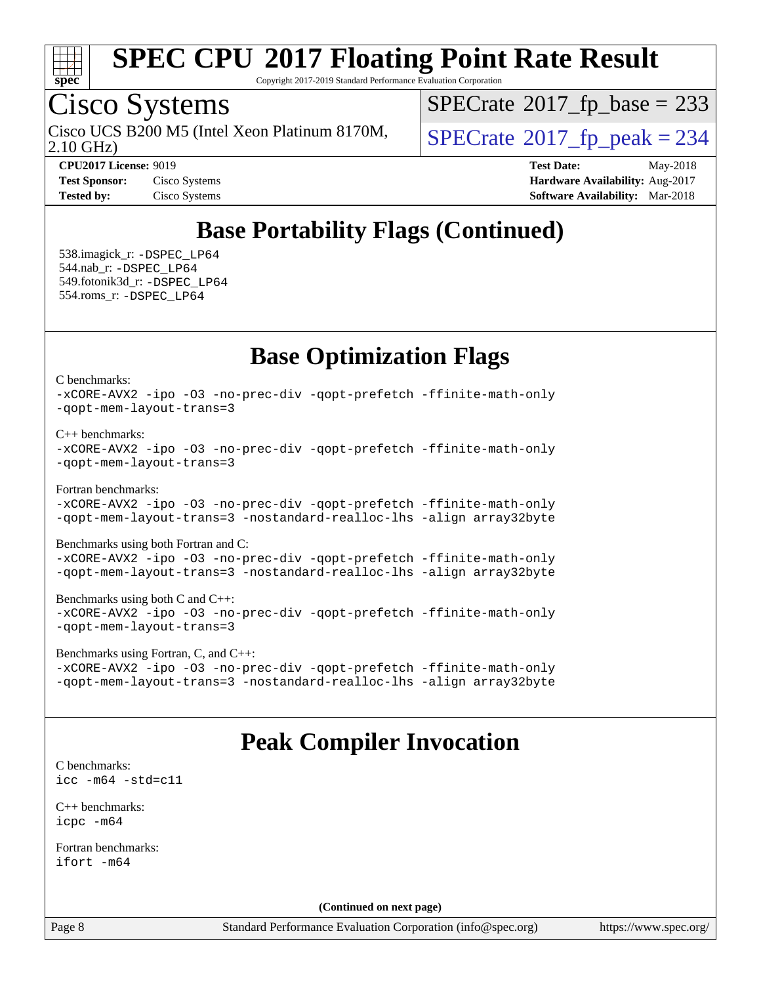

Copyright 2017-2019 Standard Performance Evaluation Corporation

# Cisco Systems

Cisco UCS B200 M5 (Intel Xeon Platinum 8170M,  $\big|$  [SPECrate](http://www.spec.org/auto/cpu2017/Docs/result-fields.html#SPECrate2017fppeak)®[2017\\_fp\\_peak = 2](http://www.spec.org/auto/cpu2017/Docs/result-fields.html#SPECrate2017fppeak)34

 $SPECTate$ <sup>®</sup>[2017\\_fp\\_base =](http://www.spec.org/auto/cpu2017/Docs/result-fields.html#SPECrate2017fpbase) 233

2.10 GHz)

**[CPU2017 License:](http://www.spec.org/auto/cpu2017/Docs/result-fields.html#CPU2017License)** 9019 **[Test Date:](http://www.spec.org/auto/cpu2017/Docs/result-fields.html#TestDate)** May-2018 **[Test Sponsor:](http://www.spec.org/auto/cpu2017/Docs/result-fields.html#TestSponsor)** Cisco Systems **Cisco Systems [Hardware Availability:](http://www.spec.org/auto/cpu2017/Docs/result-fields.html#HardwareAvailability)** Aug-2017 **[Tested by:](http://www.spec.org/auto/cpu2017/Docs/result-fields.html#Testedby)** Cisco Systems **[Software Availability:](http://www.spec.org/auto/cpu2017/Docs/result-fields.html#SoftwareAvailability)** Mar-2018

## **[Base Portability Flags \(Continued\)](http://www.spec.org/auto/cpu2017/Docs/result-fields.html#BasePortabilityFlags)**

 538.imagick\_r: [-DSPEC\\_LP64](http://www.spec.org/cpu2017/results/res2018q2/cpu2017-20180612-06932.flags.html#suite_basePORTABILITY538_imagick_r_DSPEC_LP64) 544.nab\_r: [-DSPEC\\_LP64](http://www.spec.org/cpu2017/results/res2018q2/cpu2017-20180612-06932.flags.html#suite_basePORTABILITY544_nab_r_DSPEC_LP64) 549.fotonik3d\_r: [-DSPEC\\_LP64](http://www.spec.org/cpu2017/results/res2018q2/cpu2017-20180612-06932.flags.html#suite_basePORTABILITY549_fotonik3d_r_DSPEC_LP64) 554.roms\_r: [-DSPEC\\_LP64](http://www.spec.org/cpu2017/results/res2018q2/cpu2017-20180612-06932.flags.html#suite_basePORTABILITY554_roms_r_DSPEC_LP64)

### **[Base Optimization Flags](http://www.spec.org/auto/cpu2017/Docs/result-fields.html#BaseOptimizationFlags)**

[C benchmarks](http://www.spec.org/auto/cpu2017/Docs/result-fields.html#Cbenchmarks):

[-xCORE-AVX2](http://www.spec.org/cpu2017/results/res2018q2/cpu2017-20180612-06932.flags.html#user_CCbase_f-xCORE-AVX2) [-ipo](http://www.spec.org/cpu2017/results/res2018q2/cpu2017-20180612-06932.flags.html#user_CCbase_f-ipo) [-O3](http://www.spec.org/cpu2017/results/res2018q2/cpu2017-20180612-06932.flags.html#user_CCbase_f-O3) [-no-prec-div](http://www.spec.org/cpu2017/results/res2018q2/cpu2017-20180612-06932.flags.html#user_CCbase_f-no-prec-div) [-qopt-prefetch](http://www.spec.org/cpu2017/results/res2018q2/cpu2017-20180612-06932.flags.html#user_CCbase_f-qopt-prefetch) [-ffinite-math-only](http://www.spec.org/cpu2017/results/res2018q2/cpu2017-20180612-06932.flags.html#user_CCbase_f_finite_math_only_cb91587bd2077682c4b38af759c288ed7c732db004271a9512da14a4f8007909a5f1427ecbf1a0fb78ff2a814402c6114ac565ca162485bbcae155b5e4258871) [-qopt-mem-layout-trans=3](http://www.spec.org/cpu2017/results/res2018q2/cpu2017-20180612-06932.flags.html#user_CCbase_f-qopt-mem-layout-trans_de80db37974c74b1f0e20d883f0b675c88c3b01e9d123adea9b28688d64333345fb62bc4a798493513fdb68f60282f9a726aa07f478b2f7113531aecce732043)

#### [C++ benchmarks:](http://www.spec.org/auto/cpu2017/Docs/result-fields.html#CXXbenchmarks)

```
-xCORE-AVX2 -ipo -O3 -no-prec-div -qopt-prefetch -ffinite-math-only
-qopt-mem-layout-trans=3
```
[Fortran benchmarks](http://www.spec.org/auto/cpu2017/Docs/result-fields.html#Fortranbenchmarks):

[-xCORE-AVX2](http://www.spec.org/cpu2017/results/res2018q2/cpu2017-20180612-06932.flags.html#user_FCbase_f-xCORE-AVX2) [-ipo](http://www.spec.org/cpu2017/results/res2018q2/cpu2017-20180612-06932.flags.html#user_FCbase_f-ipo) [-O3](http://www.spec.org/cpu2017/results/res2018q2/cpu2017-20180612-06932.flags.html#user_FCbase_f-O3) [-no-prec-div](http://www.spec.org/cpu2017/results/res2018q2/cpu2017-20180612-06932.flags.html#user_FCbase_f-no-prec-div) [-qopt-prefetch](http://www.spec.org/cpu2017/results/res2018q2/cpu2017-20180612-06932.flags.html#user_FCbase_f-qopt-prefetch) [-ffinite-math-only](http://www.spec.org/cpu2017/results/res2018q2/cpu2017-20180612-06932.flags.html#user_FCbase_f_finite_math_only_cb91587bd2077682c4b38af759c288ed7c732db004271a9512da14a4f8007909a5f1427ecbf1a0fb78ff2a814402c6114ac565ca162485bbcae155b5e4258871) [-qopt-mem-layout-trans=3](http://www.spec.org/cpu2017/results/res2018q2/cpu2017-20180612-06932.flags.html#user_FCbase_f-qopt-mem-layout-trans_de80db37974c74b1f0e20d883f0b675c88c3b01e9d123adea9b28688d64333345fb62bc4a798493513fdb68f60282f9a726aa07f478b2f7113531aecce732043) [-nostandard-realloc-lhs](http://www.spec.org/cpu2017/results/res2018q2/cpu2017-20180612-06932.flags.html#user_FCbase_f_2003_std_realloc_82b4557e90729c0f113870c07e44d33d6f5a304b4f63d4c15d2d0f1fab99f5daaed73bdb9275d9ae411527f28b936061aa8b9c8f2d63842963b95c9dd6426b8a) [-align array32byte](http://www.spec.org/cpu2017/results/res2018q2/cpu2017-20180612-06932.flags.html#user_FCbase_align_array32byte_b982fe038af199962ba9a80c053b8342c548c85b40b8e86eb3cc33dee0d7986a4af373ac2d51c3f7cf710a18d62fdce2948f201cd044323541f22fc0fffc51b6)

[Benchmarks using both Fortran and C](http://www.spec.org/auto/cpu2017/Docs/result-fields.html#BenchmarksusingbothFortranandC):

[-xCORE-AVX2](http://www.spec.org/cpu2017/results/res2018q2/cpu2017-20180612-06932.flags.html#user_CC_FCbase_f-xCORE-AVX2) [-ipo](http://www.spec.org/cpu2017/results/res2018q2/cpu2017-20180612-06932.flags.html#user_CC_FCbase_f-ipo) [-O3](http://www.spec.org/cpu2017/results/res2018q2/cpu2017-20180612-06932.flags.html#user_CC_FCbase_f-O3) [-no-prec-div](http://www.spec.org/cpu2017/results/res2018q2/cpu2017-20180612-06932.flags.html#user_CC_FCbase_f-no-prec-div) [-qopt-prefetch](http://www.spec.org/cpu2017/results/res2018q2/cpu2017-20180612-06932.flags.html#user_CC_FCbase_f-qopt-prefetch) [-ffinite-math-only](http://www.spec.org/cpu2017/results/res2018q2/cpu2017-20180612-06932.flags.html#user_CC_FCbase_f_finite_math_only_cb91587bd2077682c4b38af759c288ed7c732db004271a9512da14a4f8007909a5f1427ecbf1a0fb78ff2a814402c6114ac565ca162485bbcae155b5e4258871) [-qopt-mem-layout-trans=3](http://www.spec.org/cpu2017/results/res2018q2/cpu2017-20180612-06932.flags.html#user_CC_FCbase_f-qopt-mem-layout-trans_de80db37974c74b1f0e20d883f0b675c88c3b01e9d123adea9b28688d64333345fb62bc4a798493513fdb68f60282f9a726aa07f478b2f7113531aecce732043) [-nostandard-realloc-lhs](http://www.spec.org/cpu2017/results/res2018q2/cpu2017-20180612-06932.flags.html#user_CC_FCbase_f_2003_std_realloc_82b4557e90729c0f113870c07e44d33d6f5a304b4f63d4c15d2d0f1fab99f5daaed73bdb9275d9ae411527f28b936061aa8b9c8f2d63842963b95c9dd6426b8a) [-align array32byte](http://www.spec.org/cpu2017/results/res2018q2/cpu2017-20180612-06932.flags.html#user_CC_FCbase_align_array32byte_b982fe038af199962ba9a80c053b8342c548c85b40b8e86eb3cc33dee0d7986a4af373ac2d51c3f7cf710a18d62fdce2948f201cd044323541f22fc0fffc51b6)

[Benchmarks using both C and C++](http://www.spec.org/auto/cpu2017/Docs/result-fields.html#BenchmarksusingbothCandCXX): [-xCORE-AVX2](http://www.spec.org/cpu2017/results/res2018q2/cpu2017-20180612-06932.flags.html#user_CC_CXXbase_f-xCORE-AVX2) [-ipo](http://www.spec.org/cpu2017/results/res2018q2/cpu2017-20180612-06932.flags.html#user_CC_CXXbase_f-ipo) [-O3](http://www.spec.org/cpu2017/results/res2018q2/cpu2017-20180612-06932.flags.html#user_CC_CXXbase_f-O3) [-no-prec-div](http://www.spec.org/cpu2017/results/res2018q2/cpu2017-20180612-06932.flags.html#user_CC_CXXbase_f-no-prec-div) [-qopt-prefetch](http://www.spec.org/cpu2017/results/res2018q2/cpu2017-20180612-06932.flags.html#user_CC_CXXbase_f-qopt-prefetch) [-ffinite-math-only](http://www.spec.org/cpu2017/results/res2018q2/cpu2017-20180612-06932.flags.html#user_CC_CXXbase_f_finite_math_only_cb91587bd2077682c4b38af759c288ed7c732db004271a9512da14a4f8007909a5f1427ecbf1a0fb78ff2a814402c6114ac565ca162485bbcae155b5e4258871) [-qopt-mem-layout-trans=3](http://www.spec.org/cpu2017/results/res2018q2/cpu2017-20180612-06932.flags.html#user_CC_CXXbase_f-qopt-mem-layout-trans_de80db37974c74b1f0e20d883f0b675c88c3b01e9d123adea9b28688d64333345fb62bc4a798493513fdb68f60282f9a726aa07f478b2f7113531aecce732043)

```
Benchmarks using Fortran, C, and C++: 
-xCORE-AVX2 -ipo -O3 -no-prec-div -qopt-prefetch -ffinite-math-only
-qopt-mem-layout-trans=3 -nostandard-realloc-lhs -align array32byte
```
## **[Peak Compiler Invocation](http://www.spec.org/auto/cpu2017/Docs/result-fields.html#PeakCompilerInvocation)**

[C benchmarks](http://www.spec.org/auto/cpu2017/Docs/result-fields.html#Cbenchmarks): [icc -m64 -std=c11](http://www.spec.org/cpu2017/results/res2018q2/cpu2017-20180612-06932.flags.html#user_CCpeak_intel_icc_64bit_c11_33ee0cdaae7deeeab2a9725423ba97205ce30f63b9926c2519791662299b76a0318f32ddfffdc46587804de3178b4f9328c46fa7c2b0cd779d7a61945c91cd35)

[C++ benchmarks:](http://www.spec.org/auto/cpu2017/Docs/result-fields.html#CXXbenchmarks) [icpc -m64](http://www.spec.org/cpu2017/results/res2018q2/cpu2017-20180612-06932.flags.html#user_CXXpeak_intel_icpc_64bit_4ecb2543ae3f1412ef961e0650ca070fec7b7afdcd6ed48761b84423119d1bf6bdf5cad15b44d48e7256388bc77273b966e5eb805aefd121eb22e9299b2ec9d9)

[Fortran benchmarks](http://www.spec.org/auto/cpu2017/Docs/result-fields.html#Fortranbenchmarks): [ifort -m64](http://www.spec.org/cpu2017/results/res2018q2/cpu2017-20180612-06932.flags.html#user_FCpeak_intel_ifort_64bit_24f2bb282fbaeffd6157abe4f878425411749daecae9a33200eee2bee2fe76f3b89351d69a8130dd5949958ce389cf37ff59a95e7a40d588e8d3a57e0c3fd751)

**(Continued on next page)**

Page 8 Standard Performance Evaluation Corporation [\(info@spec.org\)](mailto:info@spec.org) <https://www.spec.org/>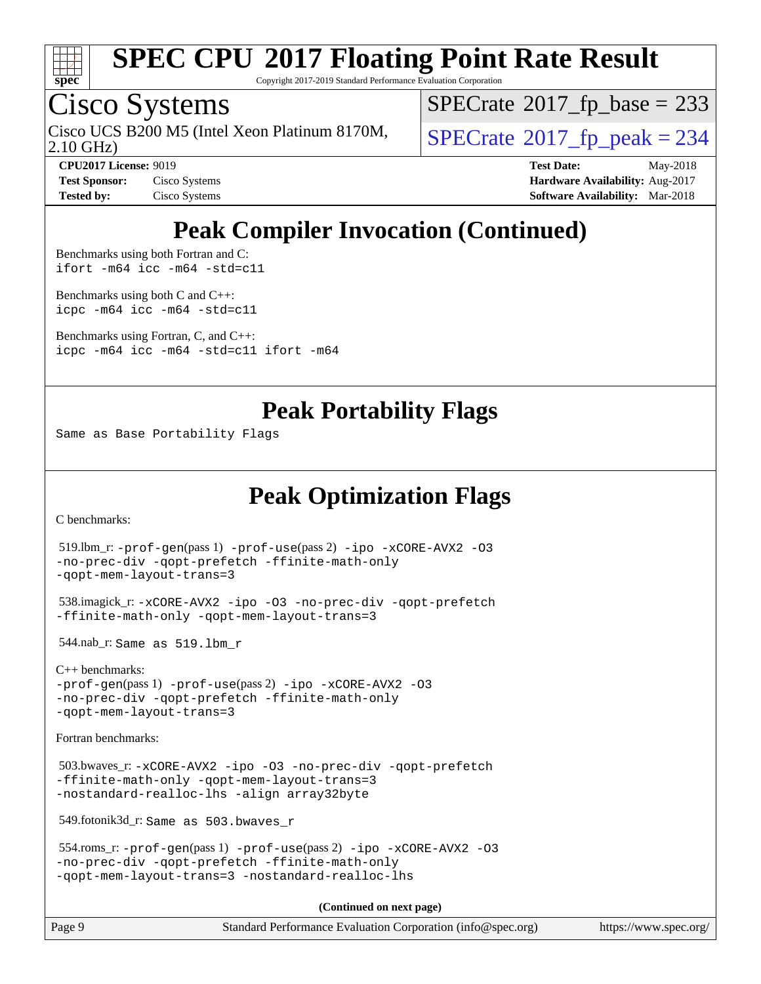

Copyright 2017-2019 Standard Performance Evaluation Corporation

## Cisco Systems

Cisco UCS B200 M5 (Intel Xeon Platinum 8170M,  $\big|$  [SPECrate](http://www.spec.org/auto/cpu2017/Docs/result-fields.html#SPECrate2017fppeak)®[2017\\_fp\\_peak = 2](http://www.spec.org/auto/cpu2017/Docs/result-fields.html#SPECrate2017fppeak)34

 $SPECTate$ <sup>®</sup>[2017\\_fp\\_base =](http://www.spec.org/auto/cpu2017/Docs/result-fields.html#SPECrate2017fpbase) 233

2.10 GHz)

**[Tested by:](http://www.spec.org/auto/cpu2017/Docs/result-fields.html#Testedby)** Cisco Systems **[Software Availability:](http://www.spec.org/auto/cpu2017/Docs/result-fields.html#SoftwareAvailability)** Mar-2018

**[CPU2017 License:](http://www.spec.org/auto/cpu2017/Docs/result-fields.html#CPU2017License)** 9019 **[Test Date:](http://www.spec.org/auto/cpu2017/Docs/result-fields.html#TestDate)** May-2018 **[Test Sponsor:](http://www.spec.org/auto/cpu2017/Docs/result-fields.html#TestSponsor)** Cisco Systems **Cisco Systems [Hardware Availability:](http://www.spec.org/auto/cpu2017/Docs/result-fields.html#HardwareAvailability)** Aug-2017

## **[Peak Compiler Invocation \(Continued\)](http://www.spec.org/auto/cpu2017/Docs/result-fields.html#PeakCompilerInvocation)**

[Benchmarks using both Fortran and C](http://www.spec.org/auto/cpu2017/Docs/result-fields.html#BenchmarksusingbothFortranandC): [ifort -m64](http://www.spec.org/cpu2017/results/res2018q2/cpu2017-20180612-06932.flags.html#user_CC_FCpeak_intel_ifort_64bit_24f2bb282fbaeffd6157abe4f878425411749daecae9a33200eee2bee2fe76f3b89351d69a8130dd5949958ce389cf37ff59a95e7a40d588e8d3a57e0c3fd751) [icc -m64 -std=c11](http://www.spec.org/cpu2017/results/res2018q2/cpu2017-20180612-06932.flags.html#user_CC_FCpeak_intel_icc_64bit_c11_33ee0cdaae7deeeab2a9725423ba97205ce30f63b9926c2519791662299b76a0318f32ddfffdc46587804de3178b4f9328c46fa7c2b0cd779d7a61945c91cd35)

[Benchmarks using both C and C++](http://www.spec.org/auto/cpu2017/Docs/result-fields.html#BenchmarksusingbothCandCXX): [icpc -m64](http://www.spec.org/cpu2017/results/res2018q2/cpu2017-20180612-06932.flags.html#user_CC_CXXpeak_intel_icpc_64bit_4ecb2543ae3f1412ef961e0650ca070fec7b7afdcd6ed48761b84423119d1bf6bdf5cad15b44d48e7256388bc77273b966e5eb805aefd121eb22e9299b2ec9d9) [icc -m64 -std=c11](http://www.spec.org/cpu2017/results/res2018q2/cpu2017-20180612-06932.flags.html#user_CC_CXXpeak_intel_icc_64bit_c11_33ee0cdaae7deeeab2a9725423ba97205ce30f63b9926c2519791662299b76a0318f32ddfffdc46587804de3178b4f9328c46fa7c2b0cd779d7a61945c91cd35)

[Benchmarks using Fortran, C, and C++:](http://www.spec.org/auto/cpu2017/Docs/result-fields.html#BenchmarksusingFortranCandCXX) [icpc -m64](http://www.spec.org/cpu2017/results/res2018q2/cpu2017-20180612-06932.flags.html#user_CC_CXX_FCpeak_intel_icpc_64bit_4ecb2543ae3f1412ef961e0650ca070fec7b7afdcd6ed48761b84423119d1bf6bdf5cad15b44d48e7256388bc77273b966e5eb805aefd121eb22e9299b2ec9d9) [icc -m64 -std=c11](http://www.spec.org/cpu2017/results/res2018q2/cpu2017-20180612-06932.flags.html#user_CC_CXX_FCpeak_intel_icc_64bit_c11_33ee0cdaae7deeeab2a9725423ba97205ce30f63b9926c2519791662299b76a0318f32ddfffdc46587804de3178b4f9328c46fa7c2b0cd779d7a61945c91cd35) [ifort -m64](http://www.spec.org/cpu2017/results/res2018q2/cpu2017-20180612-06932.flags.html#user_CC_CXX_FCpeak_intel_ifort_64bit_24f2bb282fbaeffd6157abe4f878425411749daecae9a33200eee2bee2fe76f3b89351d69a8130dd5949958ce389cf37ff59a95e7a40d588e8d3a57e0c3fd751)

### **[Peak Portability Flags](http://www.spec.org/auto/cpu2017/Docs/result-fields.html#PeakPortabilityFlags)**

Same as Base Portability Flags

## **[Peak Optimization Flags](http://www.spec.org/auto/cpu2017/Docs/result-fields.html#PeakOptimizationFlags)**

[C benchmarks](http://www.spec.org/auto/cpu2017/Docs/result-fields.html#Cbenchmarks):

```
 519.lbm_r: -prof-gen(pass 1) -prof-use(pass 2) -ipo -xCORE-AVX2 -O3
-no-prec-div -qopt-prefetch -ffinite-math-only
-qopt-mem-layout-trans=3
 538.imagick_r: -xCORE-AVX2 -ipo -O3 -no-prec-div -qopt-prefetch
-ffinite-math-only -qopt-mem-layout-trans=3
 544.nab_r: Same as 519.lbm_r
C++ benchmarks: 
-prof-gen(pass 1) -prof-use(pass 2) -ipo -xCORE-AVX2 -O3
-no-prec-div -qopt-prefetch -ffinite-math-only
-qopt-mem-layout-trans=3
Fortran benchmarks: 
 503.bwaves_r: -xCORE-AVX2 -ipo -O3 -no-prec-div -qopt-prefetch
-ffinite-math-only -qopt-mem-layout-trans=3
-nostandard-realloc-lhs -align array32byte
 549.fotonik3d_r: Same as 503.bwaves_r
 554.roms_r: -prof-gen(pass 1) -prof-use(pass 2) -ipo -xCORE-AVX2 -O3
-no-prec-div -qopt-prefetch -ffinite-math-only
-qopt-mem-layout-trans=3 -nostandard-realloc-lhs
                                      (Continued on next page)
```